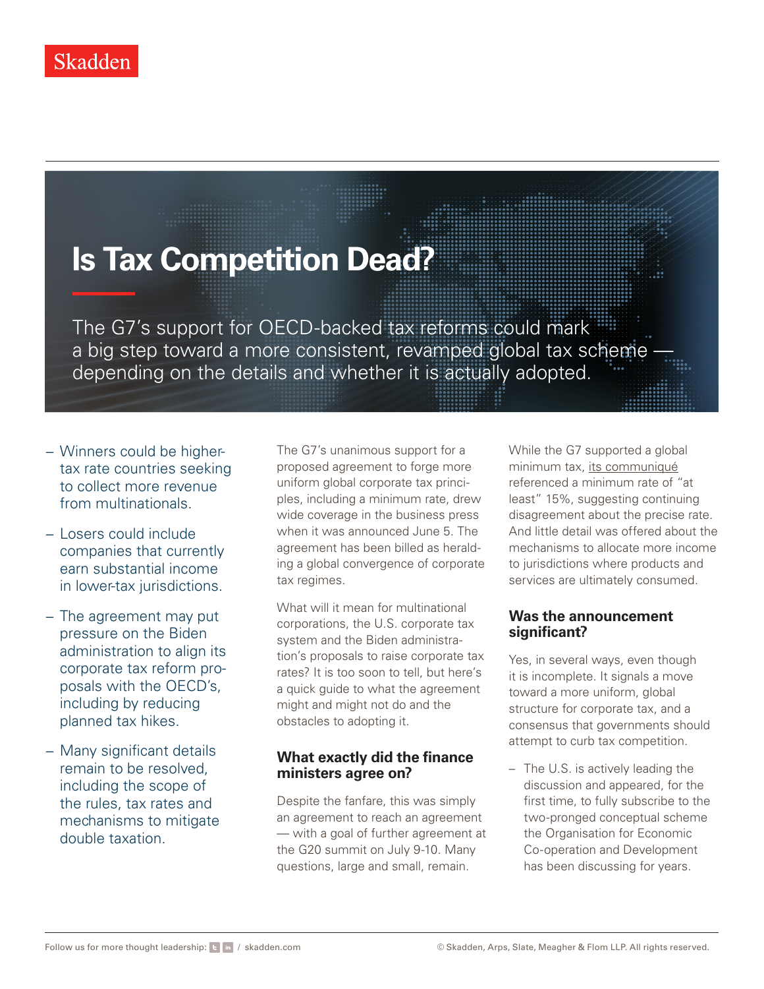# **Is Tax Competition Dead?**

The G7's support for OECD-backed tax reforms could mark a big step toward a more consistent, revamped global tax scheme depending on the details and whether it is actually adopted.

- − Winners could be highertax rate countries seeking to collect more revenue from multinationals.
- − Losers could include companies that currently earn substantial income in lower-tax jurisdictions.
- − The agreement may put pressure on the Biden administration to align its corporate tax reform proposals with the OECD's, including by reducing planned tax hikes.
- − Many significant details remain to be resolved, including the scope of the rules, tax rates and mechanisms to mitigate double taxation.

The G7's unanimous support for a proposed agreement to forge more uniform global corporate tax principles, including a minimum rate, drew wide coverage in the business press when it was announced June 5. The agreement has been billed as heralding a global convergence of corporate tax regimes.

What will it mean for multinational corporations, the U.S. corporate tax system and the Biden administration's proposals to raise corporate tax rates? It is too soon to tell, but here's a quick quide to what the agreement might and might not do and the obstacles to adopting it.

## **What exactly did the finance ministers agree on?**

Despite the fanfare, this was simply an agreement to reach an agreement — with a goal of further agreement at the G20 summit on July 9-10. Many questions, large and small, remain.

While the G7 supported a global minimum tax, [its communiqué](https://home.treasury.gov/news/press-releases/jy0215) referenced a minimum rate of "at least" 15%, suggesting continuing disagreement about the precise rate. And little detail was offered about the mechanisms to allocate more income to jurisdictions where products and services are ultimately consumed.

## **Was the announcement significant?**

Yes, in several ways, even though it is incomplete. It signals a move toward a more uniform, global structure for corporate tax, and a consensus that governments should attempt to curb tax competition.

– The U.S. is actively leading the discussion and appeared, for the first time, to fully subscribe to the two-pronged conceptual scheme the Organisation for Economic Co-operation and Development has been discussing for years.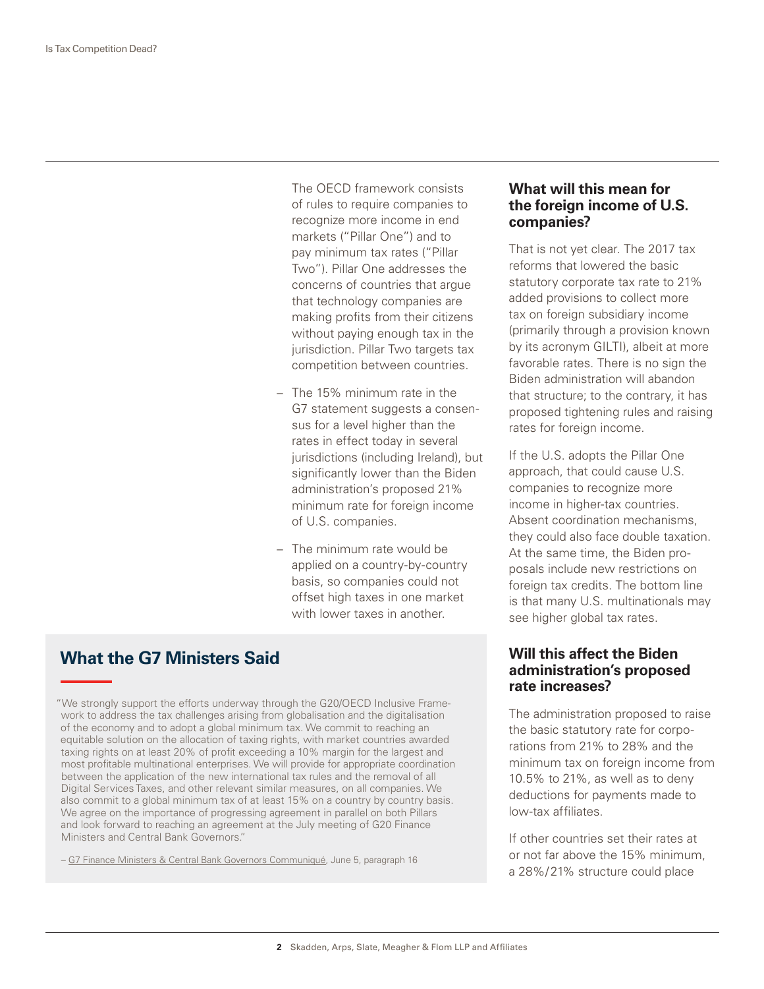The OECD framework consists of rules to require companies to recognize more income in end markets ("Pillar One") and to pay minimum tax rates ("Pillar Two"). Pillar One addresses the concerns of countries that argue that technology companies are making profits from their citizens without paying enough tax in the jurisdiction. Pillar Two targets tax competition between countries.

- The 15% minimum rate in the G7 statement suggests a consensus for a level higher than the rates in effect today in several jurisdictions (including Ireland), but significantly lower than the Biden administration's proposed 21% minimum rate for foreign income of U.S. companies.
- The minimum rate would be applied on a country-by-country basis, so companies could not offset high taxes in one market with lower taxes in another.

## **What the G7 Ministers Said**

"We strongly support the efforts underway through the G20/OECD Inclusive Framework to address the tax challenges arising from globalisation and the digitalisation of the economy and to adopt a global minimum tax. We commit to reaching an equitable solution on the allocation of taxing rights, with market countries awarded taxing rights on at least 20% of profit exceeding a 10% margin for the largest and most profitable multinational enterprises. We will provide for appropriate coordination between the application of the new international tax rules and the removal of all Digital Services Taxes, and other relevant similar measures, on all companies. We also commit to a global minimum tax of at least 15% on a country by country basis. We agree on the importance of progressing agreement in parallel on both Pillars and look forward to reaching an agreement at the July meeting of G20 Finance Ministers and Central Bank Governors."

– [G7 Finance Ministers & Central Bank Governors Communiqué](https://home.treasury.gov/news/press-releases/jy0215), June 5, paragraph 16

#### **What will this mean for the foreign income of U.S. companies?**

That is not yet clear. The 2017 tax reforms that lowered the basic statutory corporate tax rate to 21% added provisions to collect more tax on foreign subsidiary income (primarily through a provision known by its acronym GILTI), albeit at more favorable rates. There is no sign the Biden administration will abandon that structure; to the contrary, it has proposed tightening rules and raising rates for foreign income.

If the U.S. adopts the Pillar One approach, that could cause U.S. companies to recognize more income in higher-tax countries. Absent coordination mechanisms, they could also face double taxation. At the same time, the Biden proposals include new restrictions on foreign tax credits. The bottom line is that many U.S. multinationals may see higher global tax rates.

#### **Will this affect the Biden administration's proposed rate increases?**

The administration proposed to raise the basic statutory rate for corporations from 21% to 28% and the minimum tax on foreign income from 10.5% to 21%, as well as to deny deductions for payments made to low-tax affiliates.

If other countries set their rates at or not far above the 15% minimum, a 28%/21% structure could place